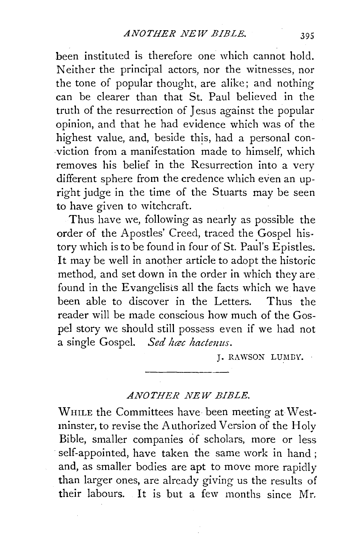been instituted is therefore one which cannot hold. Neither the principal actors, nor the witnesses, nor the tone of popular thought, are alike; and nothing can be clearer than that St. Paul believed in the truth of the resurrection of Jesus against the popular opinion, and that he had evidence which was of the highest value, and, beside this, had a personal conviction from a manifestation made to himself, which removes his belief in the Resurrection into a very different sphere from the credence which even an upright judge in the time of the Stuarts may be seen to have given to witchcraft.

Thus have we, following as nearly as possible the order of the Apostles' Creed, traced the Gospel history which is to be found in four of St. Paul's Epistles. It may be well in another article to adopt the historic method, and set down in the order in which they are found in the Evangelists all the facts which we have been able to discover in the Letters. Thus the reader will be made conscious how much of the Gospel story we should still possess even if we had not a single Gospel. *Sed hactenus.* 

J. RAWSON LUMDY.

## *ANOTHER NEW BIBLE.*

WHILE the Committees have been meeting at Westminster, to revise the Authorized Version of the Holy Bible, smaller companies of scholars, more or less self-appointed, have taken the same work in hand; and, as smaller bodies are apt to move more rapidly than larger ones, are already giving us the results of their labours. It is but a few months since Mr.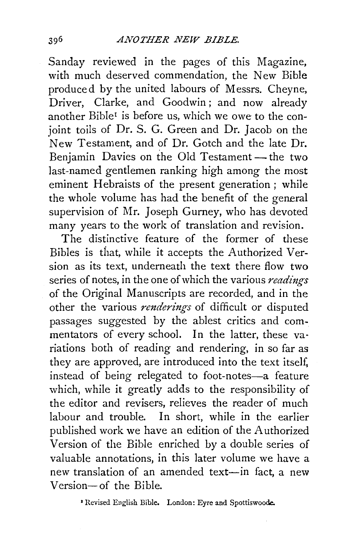Sanday reviewed in the pages of this Magazine, with much deserved commendation, the New Bible produced by the united labours of Messrs. Cheyne, Driver, Clarke, and Goodwin; and now already another Bible<sup>1</sup> is before us, which we owe to the conjoint toils of Dr. S. G. Green and Dr. Jacob on the New Testament, and of Dr. Gotch and the late Dr. Benjamin Davies on the Old Testament- the two last-named gentlemen ranking high among the most eminent Hebraists of the present generation ; while the whole volume has had the benefit of the general supervision of Mr. Joseph Gurney, who has devoted many years to the work of translation and revision.

The distinctive feature of the former of these Bibles is that, while it accepts the Authorized Version as its text, underneath the text there flow two series of notes, in the one of which the various *readings*  of the Original Manuscripts are recorded, and in the other the various *renderings* of difficult or disputed passages suggested by the ablest critics and commentators of every school. In the latter, these variations both of reading and rendering, in so far as they are approved, are introduced into the text itself, instead of being relegated to foot-notes-a feature which, while it greatly adds to the responsibility of the editor and revisers, relieves the reader of much labour and trouble. In short, while in the earlier published work we have an edition of the Authorized Version of the Bible enriched by a double series of valuable annotations, in this later volume we have a new translation of an amended text-in fact, a new Version- of the Bible.

*•* Revised English Bible. London: Eyre and Spottiswoode.

396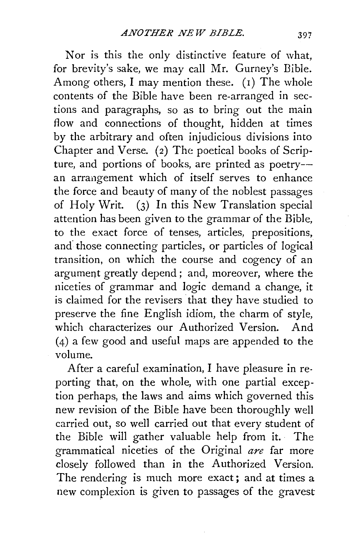Nor is this the only distinctive feature of what, for brevity's sake, we may call Mr. Gurney's Bible. Among others, I may mention these. (I) The whole contents of the Bible have been re-arranged in sections and paragraphs, so as to bring out the main flow and connections of thought, hidden at times by the arbitrary and often injudicious divisions into Chapter and Verse. (2) The poetical books of Scripture, and portions of books, are printed as poetry-an arrangement which of itself serves to enhance the force and beauty of many of the noblest passages of Holy Writ. (3) In this New Translation special attention has been given to the grammar of the Bible, to the exact force of tenses, articles, prepositions, and. those connecting particles, or particles of logical transition, on which the course and cogency of an argument greatly depend; and, moreover, where the niceties of grammar and logic demand a change, it is claimed for the revisers that they have studied to preserve the fine English idiom, the charm of style, which characterizes our Authorized Version. And (4) a few good and useful maps are appended to the volume.

After a careful examination, I have pleasure in reporting that, on the whole, with one partial exception perhaps, the laws and aims which governed this new revision of the Bible have been thoroughly well carried out, so well carried out that every student of the Bible will gather valuable help from it. · The grammatical niceties of the Original *are* far more closely followed than in the Authorized Version. The rendering is much more exact; and at times a new complexion is given to passages of the gravest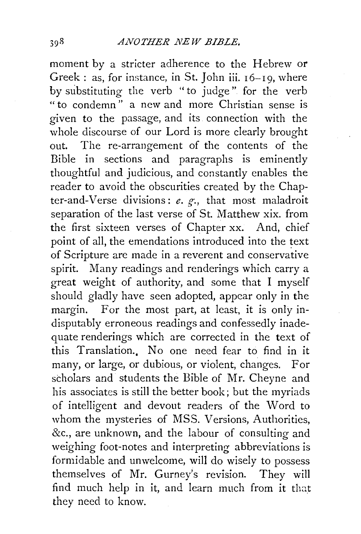moment by a stricter adherence to the Hebrew or Greek: as, for instance, in St. John iii. 16-19, where by substituting the verb "to judge" for the verb " to condemn " a new and more Christian sense is given to the passage, and its connection with the whole discourse of our Lord is more clearly brought out. The re-arrangement of the contents of the Bible in sections and paragraphs is eminently thoughtful and judicious, and constantly enables the reader to avoid the obscurities created by the Chapter-and-Verse divisions: *e.* g-., that most maladroit separation of the last verse of St. Matthew xix. from the first sixteen verses of Chapter xx. And, chief point of all, the emendations introduced into the text of Scripture are made in a reverent and conservative spirit. Many readings and renderings which carry a great weight of authority, and some that I myself should gladly have seen adopted, appear only in the margin. For the most part, at least, it is only indisputably erroneous readings and confessedly inadequate renderings which are corrected in the text of this Translation.. No one need fear to find in it many, or large, or dubious, or violent, changes. For scholars and students the Bible of Mr. Cheyne and his associates is still the better book; but the myriads of intelligent and devout readers of the Word to whom the mysteries of MSS. Versions, Authorities, &c., are unknown, and the labour of consulting and weighing foot-notes and interpreting abbreviations is formidable and unwelcome, will do wisely to possess themselves of Mr. Gurney's revision. They will find much help in it, and learn much from it that they need to know.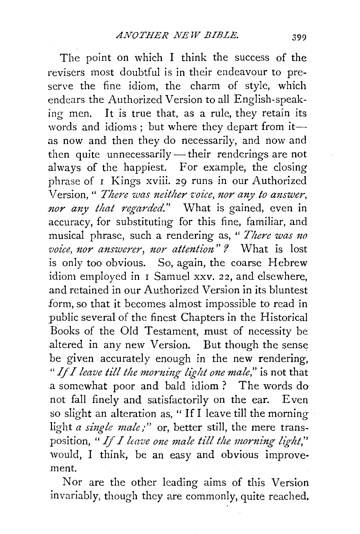The point on which I think the success of the revisers most doubtful is in their endeavour to preserve the fine idiom, the charm of style, which endears the Authorized Version to all English-speaking men. It is true that, as a rule, they retain its words and idioms; but where they depart from itas now and then they do necessarily, and now and then quite unnecessarily — their renderings are not always of the happiest. For example, the closing phrase of I Kings xviii. 29 runs in our Authorized Version, " *There was neither voice, nor any to answer*, nor any that regarded." What is gained, even in accuracy, for substituting for this fine, familiar, and musical phrase, such a rendering as, " *There was no voice, nor answerer, nor attention*"? What is lost is only too obvious. So, again, the coarse Hebrew idiom employed in I Samuel xxv. 22, and elsewhere. and retained in our Authorized Version in its bluntest form, so that it becomes almost impossible to read in public several of the finest Chapters in the Historical Books of the Old Testament, must of necessity be altered in any new Version. But though the sense be given accurately enough in the new rendering, *"If I leave till the morning light one male,"* is not that .a somewhat poor and bald idiom ? The words do not fall finely and satisfactorily on the ear. Even so slight an alteration as, " If I leave till the morning light *a single male;"* or, better still, the mere transposition, " If *I leave one male till the morning light*," would, I think, be an easy and obvious improvement.

Nor are the other leading aims of this Version invariably, though they are commonly, quite reached,